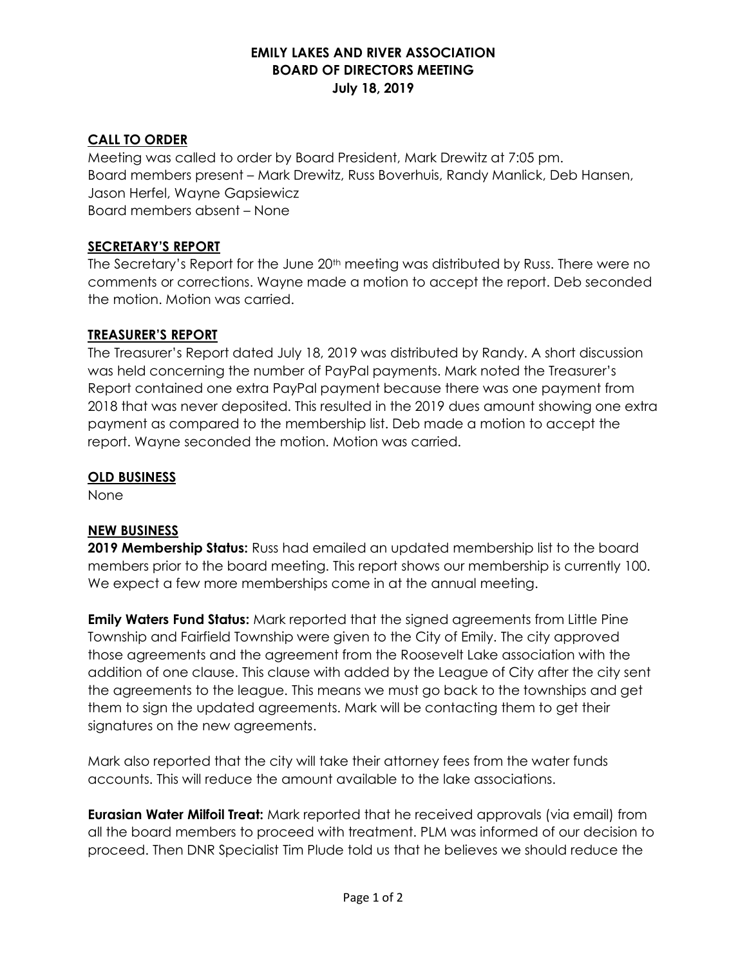# EMILY LAKES AND RIVER ASSOCIATION BOARD OF DIRECTORS MEETING July 18, 2019

# CALL TO ORDER

Meeting was called to order by Board President, Mark Drewitz at 7:05 pm. Board members present – Mark Drewitz, Russ Boverhuis, Randy Manlick, Deb Hansen, Jason Herfel, Wayne Gapsiewicz Board members absent – None

### SECRETARY'S REPORT

The Secretary's Report for the June 20<sup>th</sup> meeting was distributed by Russ. There were no comments or corrections. Wayne made a motion to accept the report. Deb seconded the motion. Motion was carried.

### TREASURER'S REPORT

The Treasurer's Report dated July 18, 2019 was distributed by Randy. A short discussion was held concerning the number of PayPal payments. Mark noted the Treasurer's Report contained one extra PayPal payment because there was one payment from 2018 that was never deposited. This resulted in the 2019 dues amount showing one extra payment as compared to the membership list. Deb made a motion to accept the report. Wayne seconded the motion. Motion was carried.

### OLD BUSINESS

None

### NEW BUSINESS

**2019 Membership Status:** Russ had emailed an updated membership list to the board members prior to the board meeting. This report shows our membership is currently 100. We expect a few more memberships come in at the annual meeting.

**Emily Waters Fund Status:** Mark reported that the signed agreements from Little Pine Township and Fairfield Township were given to the City of Emily. The city approved those agreements and the agreement from the Roosevelt Lake association with the addition of one clause. This clause with added by the League of City after the city sent the agreements to the league. This means we must go back to the townships and get them to sign the updated agreements. Mark will be contacting them to get their signatures on the new agreements.

Mark also reported that the city will take their attorney fees from the water funds accounts. This will reduce the amount available to the lake associations.

**Eurasian Water Milfoil Treat:** Mark reported that he received approvals (via email) from all the board members to proceed with treatment. PLM was informed of our decision to proceed. Then DNR Specialist Tim Plude told us that he believes we should reduce the